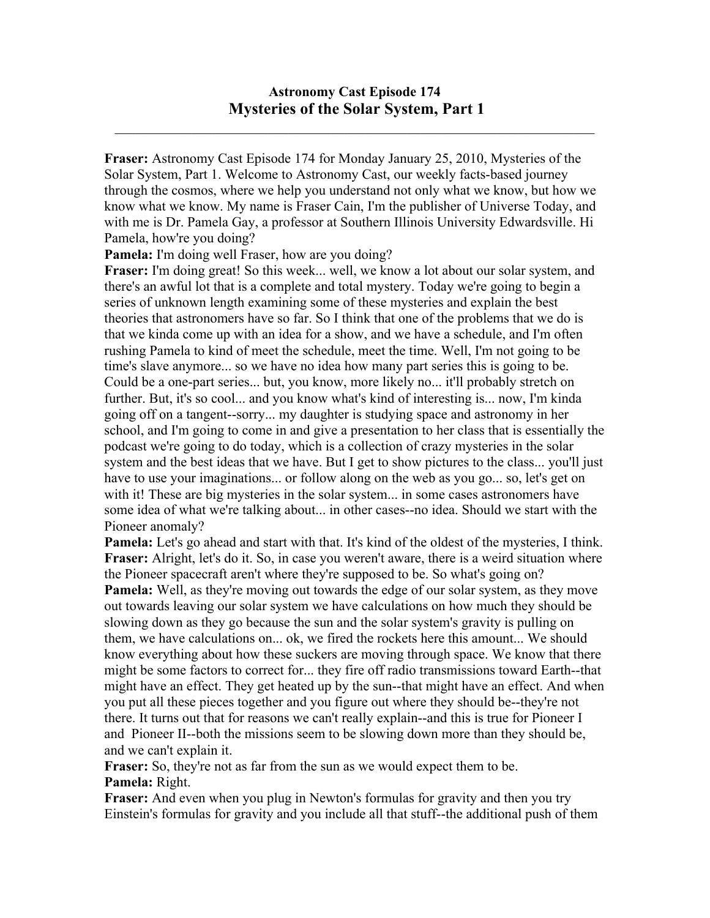## **Astronomy Cast Episode 174 Mysteries of the Solar System, Part 1**

 $\mathcal{L}_\mathcal{L} = \mathcal{L}_\mathcal{L} = \mathcal{L}_\mathcal{L} = \mathcal{L}_\mathcal{L} = \mathcal{L}_\mathcal{L} = \mathcal{L}_\mathcal{L} = \mathcal{L}_\mathcal{L} = \mathcal{L}_\mathcal{L} = \mathcal{L}_\mathcal{L} = \mathcal{L}_\mathcal{L} = \mathcal{L}_\mathcal{L} = \mathcal{L}_\mathcal{L} = \mathcal{L}_\mathcal{L} = \mathcal{L}_\mathcal{L} = \mathcal{L}_\mathcal{L} = \mathcal{L}_\mathcal{L} = \mathcal{L}_\mathcal{L}$ 

**Fraser:** Astronomy Cast Episode 174 for Monday January 25, 2010, Mysteries of the Solar System, Part 1. Welcome to Astronomy Cast, our weekly facts-based journey through the cosmos, where we help you understand not only what we know, but how we know what we know. My name is Fraser Cain, I'm the publisher of Universe Today, and with me is Dr. Pamela Gay, a professor at Southern Illinois University Edwardsville. Hi Pamela, how're you doing?

**Pamela:** I'm doing well Fraser, how are you doing?

**Fraser:** I'm doing great! So this week... well, we know a lot about our solar system, and there's an awful lot that is a complete and total mystery. Today we're going to begin a series of unknown length examining some of these mysteries and explain the best theories that astronomers have so far. So I think that one of the problems that we do is that we kinda come up with an idea for a show, and we have a schedule, and I'm often rushing Pamela to kind of meet the schedule, meet the time. Well, I'm not going to be time's slave anymore... so we have no idea how many part series this is going to be. Could be a one-part series... but, you know, more likely no... it'll probably stretch on further. But, it's so cool... and you know what's kind of interesting is... now, I'm kinda going off on a tangent--sorry... my daughter is studying space and astronomy in her school, and I'm going to come in and give a presentation to her class that is essentially the podcast we're going to do today, which is a collection of crazy mysteries in the solar system and the best ideas that we have. But I get to show pictures to the class... you'll just have to use your imaginations... or follow along on the web as you go... so, let's get on with it! These are big mysteries in the solar system... in some cases astronomers have some idea of what we're talking about... in other cases--no idea. Should we start with the Pioneer anomaly?

**Pamela:** Let's go ahead and start with that. It's kind of the oldest of the mysteries, I think. **Fraser:** Alright, let's do it. So, in case you weren't aware, there is a weird situation where the Pioneer spacecraft aren't where they're supposed to be. So what's going on? **Pamela:** Well, as they're moving out towards the edge of our solar system, as they move out towards leaving our solar system we have calculations on how much they should be slowing down as they go because the sun and the solar system's gravity is pulling on them, we have calculations on... ok, we fired the rockets here this amount... We should know everything about how these suckers are moving through space. We know that there might be some factors to correct for... they fire off radio transmissions toward Earth--that might have an effect. They get heated up by the sun--that might have an effect. And when you put all these pieces together and you figure out where they should be--they're not there. It turns out that for reasons we can't really explain--and this is true for Pioneer I and Pioneer II--both the missions seem to be slowing down more than they should be, and we can't explain it.

**Fraser:** So, they're not as far from the sun as we would expect them to be. **Pamela:** Right.

**Fraser:** And even when you plug in Newton's formulas for gravity and then you try Einstein's formulas for gravity and you include all that stuff--the additional push of them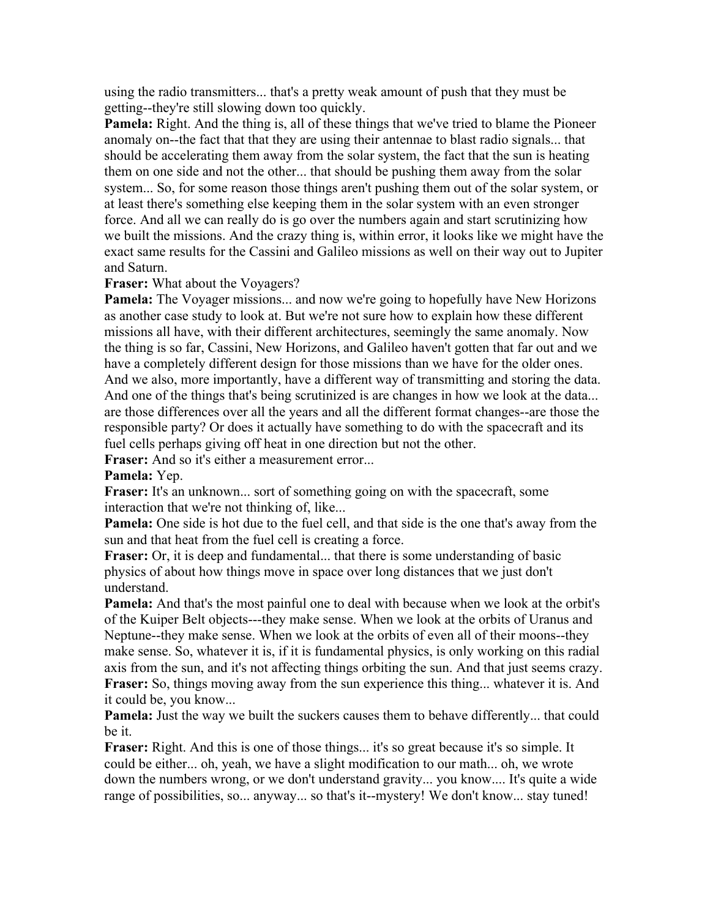using the radio transmitters... that's a pretty weak amount of push that they must be getting--they're still slowing down too quickly.

**Pamela:** Right. And the thing is, all of these things that we've tried to blame the Pioneer anomaly on--the fact that that they are using their antennae to blast radio signals... that should be accelerating them away from the solar system, the fact that the sun is heating them on one side and not the other... that should be pushing them away from the solar system... So, for some reason those things aren't pushing them out of the solar system, or at least there's something else keeping them in the solar system with an even stronger force. And all we can really do is go over the numbers again and start scrutinizing how we built the missions. And the crazy thing is, within error, it looks like we might have the exact same results for the Cassini and Galileo missions as well on their way out to Jupiter and Saturn.

**Fraser:** What about the Voyagers?

**Pamela:** The Voyager missions... and now we're going to hopefully have New Horizons as another case study to look at. But we're not sure how to explain how these different missions all have, with their different architectures, seemingly the same anomaly. Now the thing is so far, Cassini, New Horizons, and Galileo haven't gotten that far out and we have a completely different design for those missions than we have for the older ones. And we also, more importantly, have a different way of transmitting and storing the data. And one of the things that's being scrutinized is are changes in how we look at the data... are those differences over all the years and all the different format changes--are those the responsible party? Or does it actually have something to do with the spacecraft and its fuel cells perhaps giving off heat in one direction but not the other.

**Fraser:** And so it's either a measurement error...

**Pamela:** Yep.

Fraser: It's an unknown... sort of something going on with the spacecraft, some interaction that we're not thinking of, like...

**Pamela:** One side is hot due to the fuel cell, and that side is the one that's away from the sun and that heat from the fuel cell is creating a force.

**Fraser:** Or, it is deep and fundamental... that there is some understanding of basic physics of about how things move in space over long distances that we just don't understand.

**Pamela:** And that's the most painful one to deal with because when we look at the orbit's of the Kuiper Belt objects---they make sense. When we look at the orbits of Uranus and Neptune--they make sense. When we look at the orbits of even all of their moons--they make sense. So, whatever it is, if it is fundamental physics, is only working on this radial axis from the sun, and it's not affecting things orbiting the sun. And that just seems crazy. **Fraser:** So, things moving away from the sun experience this thing... whatever it is. And it could be, you know...

**Pamela:** Just the way we built the suckers causes them to behave differently... that could be it.

**Fraser:** Right. And this is one of those things... it's so great because it's so simple. It could be either... oh, yeah, we have a slight modification to our math... oh, we wrote down the numbers wrong, or we don't understand gravity... you know.... It's quite a wide range of possibilities, so... anyway... so that's it--mystery! We don't know... stay tuned!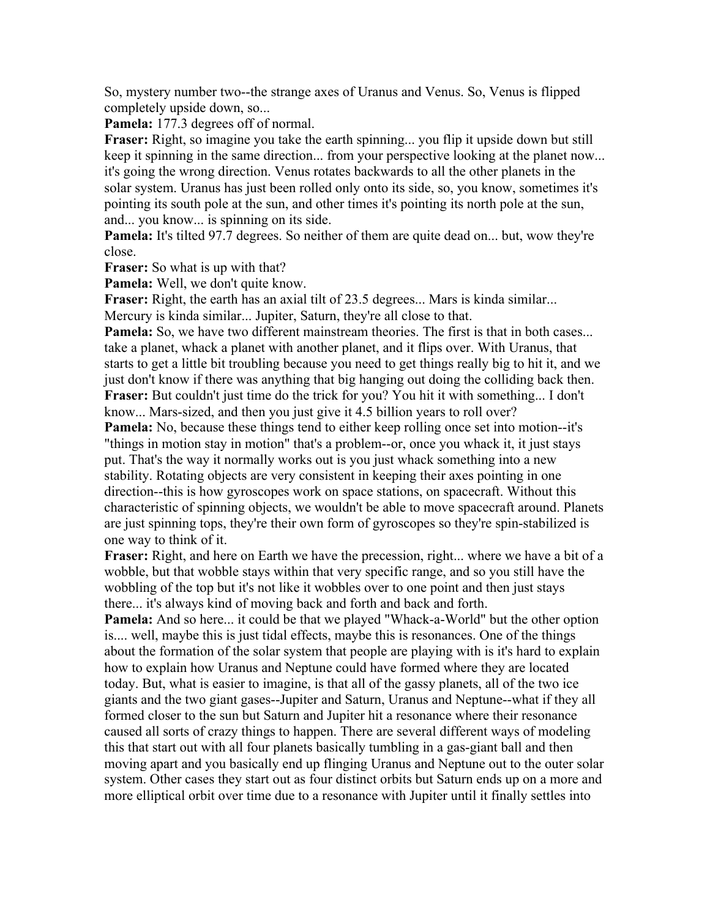So, mystery number two--the strange axes of Uranus and Venus. So, Venus is flipped completely upside down, so...

**Pamela:** 177.3 degrees off of normal.

**Fraser:** Right, so imagine you take the earth spinning... you flip it upside down but still keep it spinning in the same direction... from your perspective looking at the planet now... it's going the wrong direction. Venus rotates backwards to all the other planets in the solar system. Uranus has just been rolled only onto its side, so, you know, sometimes it's pointing its south pole at the sun, and other times it's pointing its north pole at the sun, and... you know... is spinning on its side.

**Pamela:** It's tilted 97.7 degrees. So neither of them are quite dead on... but, wow they're close.

**Fraser:** So what is up with that?

**Pamela:** Well, we don't quite know.

**Fraser:** Right, the earth has an axial tilt of 23.5 degrees... Mars is kinda similar... Mercury is kinda similar... Jupiter, Saturn, they're all close to that.

**Pamela:** So, we have two different mainstream theories. The first is that in both cases... take a planet, whack a planet with another planet, and it flips over. With Uranus, that starts to get a little bit troubling because you need to get things really big to hit it, and we just don't know if there was anything that big hanging out doing the colliding back then. **Fraser:** But couldn't just time do the trick for you? You hit it with something... I don't know... Mars-sized, and then you just give it 4.5 billion years to roll over?

**Pamela:** No, because these things tend to either keep rolling once set into motion--it's "things in motion stay in motion" that's a problem--or, once you whack it, it just stays put. That's the way it normally works out is you just whack something into a new stability. Rotating objects are very consistent in keeping their axes pointing in one direction--this is how gyroscopes work on space stations, on spacecraft. Without this characteristic of spinning objects, we wouldn't be able to move spacecraft around. Planets are just spinning tops, they're their own form of gyroscopes so they're spin-stabilized is one way to think of it.

**Fraser:** Right, and here on Earth we have the precession, right... where we have a bit of a wobble, but that wobble stays within that very specific range, and so you still have the wobbling of the top but it's not like it wobbles over to one point and then just stays there... it's always kind of moving back and forth and back and forth.

**Pamela:** And so here... it could be that we played "Whack-a-World" but the other option is.... well, maybe this is just tidal effects, maybe this is resonances. One of the things about the formation of the solar system that people are playing with is it's hard to explain how to explain how Uranus and Neptune could have formed where they are located today. But, what is easier to imagine, is that all of the gassy planets, all of the two ice giants and the two giant gases--Jupiter and Saturn, Uranus and Neptune--what if they all formed closer to the sun but Saturn and Jupiter hit a resonance where their resonance caused all sorts of crazy things to happen. There are several different ways of modeling this that start out with all four planets basically tumbling in a gas-giant ball and then moving apart and you basically end up flinging Uranus and Neptune out to the outer solar system. Other cases they start out as four distinct orbits but Saturn ends up on a more and more elliptical orbit over time due to a resonance with Jupiter until it finally settles into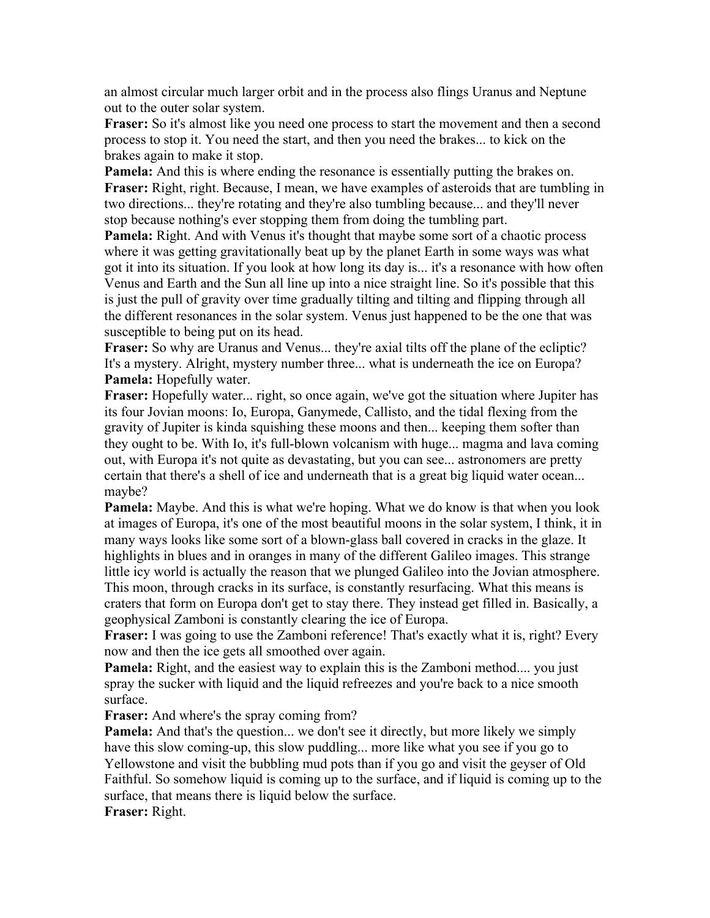an almost circular much larger orbit and in the process also flings Uranus and Neptune out to the outer solar system.

**Fraser:** So it's almost like you need one process to start the movement and then a second process to stop it. You need the start, and then you need the brakes... to kick on the brakes again to make it stop.

**Pamela:** And this is where ending the resonance is essentially putting the brakes on. **Fraser:** Right, right. Because, I mean, we have examples of asteroids that are tumbling in two directions... they're rotating and they're also tumbling because... and they'll never stop because nothing's ever stopping them from doing the tumbling part.

**Pamela:** Right. And with Venus it's thought that maybe some sort of a chaotic process where it was getting gravitationally beat up by the planet Earth in some ways was what got it into its situation. If you look at how long its day is... it's a resonance with how often Venus and Earth and the Sun all line up into a nice straight line. So it's possible that this is just the pull of gravity over time gradually tilting and tilting and flipping through all the different resonances in the solar system. Venus just happened to be the one that was susceptible to being put on its head.

**Fraser:** So why are Uranus and Venus... they're axial tilts off the plane of the ecliptic? It's a mystery. Alright, mystery number three... what is underneath the ice on Europa? **Pamela:** Hopefully water.

**Fraser:** Hopefully water... right, so once again, we've got the situation where Jupiter has its four Jovian moons: Io, Europa, Ganymede, Callisto, and the tidal flexing from the gravity of Jupiter is kinda squishing these moons and then... keeping them softer than they ought to be. With Io, it's full-blown volcanism with huge... magma and lava coming out, with Europa it's not quite as devastating, but you can see... astronomers are pretty certain that there's a shell of ice and underneath that is a great big liquid water ocean... maybe?

**Pamela:** Maybe. And this is what we're hoping. What we do know is that when you look at images of Europa, it's one of the most beautiful moons in the solar system, I think, it in many ways looks like some sort of a blown-glass ball covered in cracks in the glaze. It highlights in blues and in oranges in many of the different Galileo images. This strange little icy world is actually the reason that we plunged Galileo into the Jovian atmosphere. This moon, through cracks in its surface, is constantly resurfacing. What this means is craters that form on Europa don't get to stay there. They instead get filled in. Basically, a geophysical Zamboni is constantly clearing the ice of Europa.

**Fraser:** I was going to use the Zamboni reference! That's exactly what it is, right? Every now and then the ice gets all smoothed over again.

**Pamela:** Right, and the easiest way to explain this is the Zamboni method.... you just spray the sucker with liquid and the liquid refreezes and you're back to a nice smooth surface.

**Fraser:** And where's the spray coming from?

**Pamela:** And that's the question... we don't see it directly, but more likely we simply have this slow coming-up, this slow puddling... more like what you see if you go to Yellowstone and visit the bubbling mud pots than if you go and visit the geyser of Old Faithful. So somehow liquid is coming up to the surface, and if liquid is coming up to the surface, that means there is liquid below the surface.

**Fraser:** Right.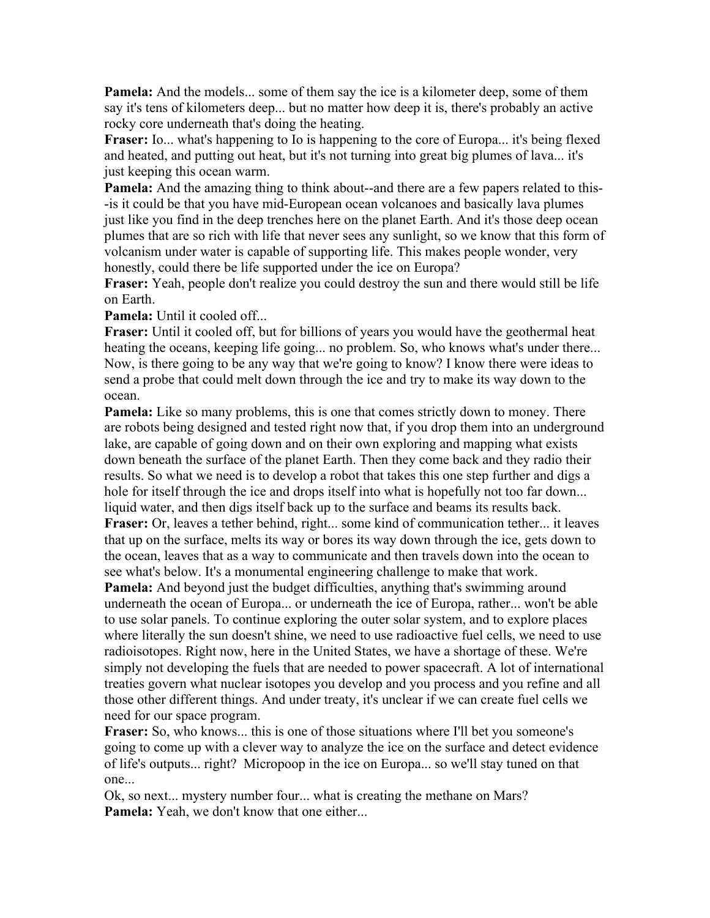**Pamela:** And the models... some of them say the ice is a kilometer deep, some of them say it's tens of kilometers deep... but no matter how deep it is, there's probably an active rocky core underneath that's doing the heating.

**Fraser:** Io... what's happening to Io is happening to the core of Europa... it's being flexed and heated, and putting out heat, but it's not turning into great big plumes of lava... it's just keeping this ocean warm.

**Pamela:** And the amazing thing to think about--and there are a few papers related to this- -is it could be that you have mid-European ocean volcanoes and basically lava plumes just like you find in the deep trenches here on the planet Earth. And it's those deep ocean plumes that are so rich with life that never sees any sunlight, so we know that this form of volcanism under water is capable of supporting life. This makes people wonder, very honestly, could there be life supported under the ice on Europa?

**Fraser:** Yeah, people don't realize you could destroy the sun and there would still be life on Earth.

**Pamela:** Until it cooled off...

**Fraser:** Until it cooled off, but for billions of years you would have the geothermal heat heating the oceans, keeping life going... no problem. So, who knows what's under there... Now, is there going to be any way that we're going to know? I know there were ideas to send a probe that could melt down through the ice and try to make its way down to the ocean.

**Pamela:** Like so many problems, this is one that comes strictly down to money. There are robots being designed and tested right now that, if you drop them into an underground lake, are capable of going down and on their own exploring and mapping what exists down beneath the surface of the planet Earth. Then they come back and they radio their results. So what we need is to develop a robot that takes this one step further and digs a hole for itself through the ice and drops itself into what is hopefully not too far down... liquid water, and then digs itself back up to the surface and beams its results back. **Fraser:** Or, leaves a tether behind, right... some kind of communication tether... it leaves that up on the surface, melts its way or bores its way down through the ice, gets down to the ocean, leaves that as a way to communicate and then travels down into the ocean to see what's below. It's a monumental engineering challenge to make that work.

**Pamela:** And beyond just the budget difficulties, anything that's swimming around underneath the ocean of Europa... or underneath the ice of Europa, rather... won't be able to use solar panels. To continue exploring the outer solar system, and to explore places where literally the sun doesn't shine, we need to use radioactive fuel cells, we need to use radioisotopes. Right now, here in the United States, we have a shortage of these. We're simply not developing the fuels that are needed to power spacecraft. A lot of international treaties govern what nuclear isotopes you develop and you process and you refine and all those other different things. And under treaty, it's unclear if we can create fuel cells we need for our space program.

**Fraser:** So, who knows... this is one of those situations where I'll bet you someone's going to come up with a clever way to analyze the ice on the surface and detect evidence of life's outputs... right? Micropoop in the ice on Europa... so we'll stay tuned on that one...

Ok, so next... mystery number four... what is creating the methane on Mars? Pamela: Yeah, we don't know that one either...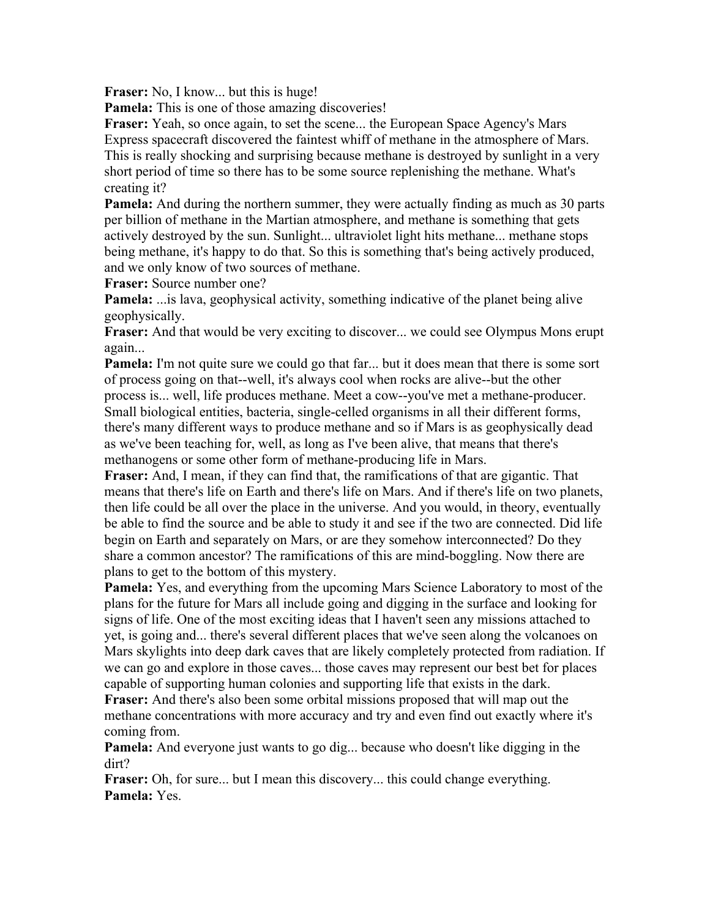**Fraser:** No, I know... but this is huge!

**Pamela:** This is one of those amazing discoveries!

**Fraser:** Yeah, so once again, to set the scene... the European Space Agency's Mars Express spacecraft discovered the faintest whiff of methane in the atmosphere of Mars. This is really shocking and surprising because methane is destroyed by sunlight in a very short period of time so there has to be some source replenishing the methane. What's creating it?

**Pamela:** And during the northern summer, they were actually finding as much as 30 parts per billion of methane in the Martian atmosphere, and methane is something that gets actively destroyed by the sun. Sunlight... ultraviolet light hits methane... methane stops being methane, it's happy to do that. So this is something that's being actively produced, and we only know of two sources of methane.

**Fraser:** Source number one?

**Pamela:** ...is lava, geophysical activity, something indicative of the planet being alive geophysically.

**Fraser:** And that would be very exciting to discover... we could see Olympus Mons erupt again...

**Pamela:** I'm not quite sure we could go that far... but it does mean that there is some sort of process going on that--well, it's always cool when rocks are alive--but the other process is... well, life produces methane. Meet a cow--you've met a methane-producer. Small biological entities, bacteria, single-celled organisms in all their different forms, there's many different ways to produce methane and so if Mars is as geophysically dead as we've been teaching for, well, as long as I've been alive, that means that there's methanogens or some other form of methane-producing life in Mars.

**Fraser:** And, I mean, if they can find that, the ramifications of that are gigantic. That means that there's life on Earth and there's life on Mars. And if there's life on two planets, then life could be all over the place in the universe. And you would, in theory, eventually be able to find the source and be able to study it and see if the two are connected. Did life begin on Earth and separately on Mars, or are they somehow interconnected? Do they share a common ancestor? The ramifications of this are mind-boggling. Now there are plans to get to the bottom of this mystery.

**Pamela:** Yes, and everything from the upcoming Mars Science Laboratory to most of the plans for the future for Mars all include going and digging in the surface and looking for signs of life. One of the most exciting ideas that I haven't seen any missions attached to yet, is going and... there's several different places that we've seen along the volcanoes on Mars skylights into deep dark caves that are likely completely protected from radiation. If we can go and explore in those caves... those caves may represent our best bet for places capable of supporting human colonies and supporting life that exists in the dark.

**Fraser:** And there's also been some orbital missions proposed that will map out the methane concentrations with more accuracy and try and even find out exactly where it's coming from.

**Pamela:** And everyone just wants to go dig... because who doesn't like digging in the dirt?

**Fraser:** Oh, for sure... but I mean this discovery... this could change everything. **Pamela:** Yes.